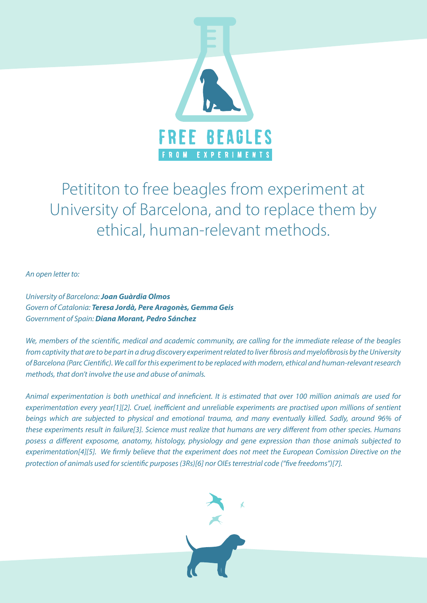

# Petititon to free beagles from experiment at University of Barcelona, and to replace them by ethical, human-relevant methods.

*An open letter to:*

*University of Barcelona: Joan Guàrdia Olmos Govern of Catalonia: Teresa Jordà, Pere Aragonès, Gemma Geis Government of Spain: Diana Morant, Pedro Sánchez*

We, members of the scientific, medical and academic community, are calling for the immediate release of the beagles from captivity that are to be part in a drug discovery experiment related to liver fibrosis and myelofibrosis by the University of Barcelona (Parc Cientific). We call for this experiment to be replaced with modern, ethical and human-relevant research methods, that don't involve the use and abuse of animals.

Animal experimentation is both unethical and inneficient. It is estimated that over 100 million animals are used for experimentation every year[1][2]. Cruel, inefficient and unreliable experiments are practised upon millions of sentient beings which are subjected to physical and emotional trauma, and many eventually killed. Sadly, around 96% of these experiments result in failure[3]. Science must realize that humans are very different from other species. Humans posess a different exposome, anatomy, histology, physiology and gene expression than those animals subjected to experimentation[4][5]. We firmly believe that the experiment does not meet the European Comission Directive on the protection of animals used for scientific purposes (3Rs)[6] nor OIEs terrestrial code ("five freedoms")[7].

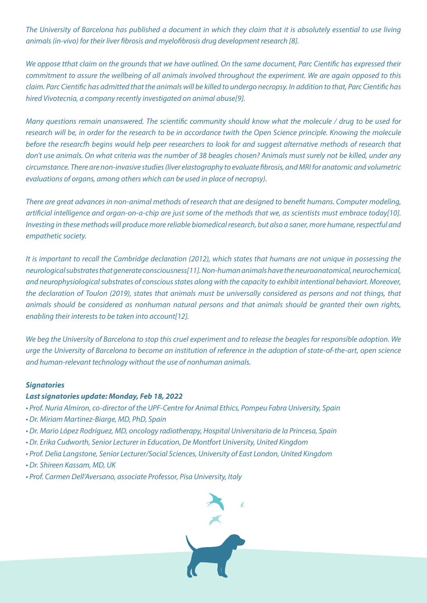The University of Barcelona has published a document in which they claim that it is absolutely essential to use living animals (in-vivo) for their liver fibrosis and myelofibrosis drug development research [8].

We oppose tthat claim on the grounds that we have outlined. On the same document, Parc Cientific has expressed their commitment to assure the wellbeing of all animals involved throughout the experiment. We are again opposed to this claim. Parc Cientific has admitted that the animals will be killed to undergo necropsy. In addition to that, Parc Cientific has hired Vivotecnia, a company recently investigated on animal abuse[9].

Many questions remain unanswered. The scientific community should know what the molecule / drug to be used for research will be, in order for the research to be in accordance twith the Open Science principle. Knowing the molecule before the researcfh begins would help peer researchers to look for and suggest alternative methods of research that don't use animals. On what criteria was the number of 38 beagles chosen? Animals must surely not be killed, under any circumstance. There are non-invasive studies (liver elastography to evaluate fibrosis, and MRI for anatomic and volumetric evaluations of organs, among others which can be used in place of necropsy).

There are great advances in non-animal methods of research that are designed to benefit humans. Computer modeling, artificial intelligence and organ-on-a-chip are just some of the methods that we, as scientists must embrace today[10]. Investing in these methods will produce more reliable biomedical research, but also a saner, more humane, respectful and empathetic society.

It is important to recall the Cambridge declaration (2012), which states that humans are not unique in possessing the neurological substrates that generate consciousness[11]. Non-human animals have the neuroanatomical, neurochemical, and neurophysiological substrates of conscious states along with the capacity to exhibit intentional behaviort. Moreover, the declaration of Toulon (2019), states that animals must be universally considered as persons and not things, that animals should be considered as nonhuman natural persons and that animals should be granted their own rights, enabling their interests to be taken into account[12].

We beg the University of Barcelona to stop this cruel experiment and to release the beagles for responsible adoption. We urge the University of Barcelona to become an institution of reference in the adoption of state-of-the-art, open science and human-relevant technology without the use of nonhuman animals.

## *Signatories*

# *Last signatories update: Monday, Feb 18, 2022*

- Prof. Nuria Almiron, co-director of the UPF-Centre for Animal Ethics, Pompeu Fabra University, Spain
- Dr. Miriam Martinez-Biarge, MD, PhD, Spain
- Dr. Mario López Rodríguez, MD, oncology radiotherapy, Hospital Universitario de la Princesa, Spain
- Dr. Erika Cudworth, Senior Lecturer in Education, De Montfort University, United Kingdom
- Prof. Delia Langstone, Senior Lecturer/Social Sciences, University of East London, United Kingdom
- Dr. Shireen Kassam, MD, UK
- Prof. Carmen Dell'Aversano, associate Professor, Pisa University, Italy

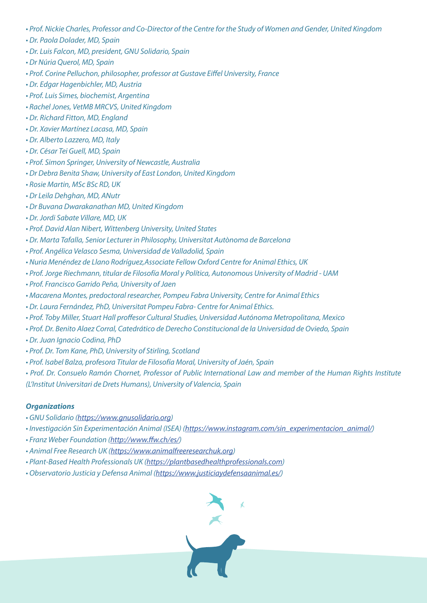- Prof. Nickie Charles, Professor and Co-Director of the Centre for the Study of Women and Gender, United Kingdom
- Dr. Paola Dolader, MD, Spain
- Dr. Luis Falcon, MD, president, GNU Solidario, Spain
- Dr Núria Querol, MD, Spain
- Prof. Corine Pelluchon, philosopher, professor at Gustave Eiffel University, France
- Dr. Edgar Hagenbichler, MD, Austria
- Prof. Luis Simes, biochemist, Argentina
- Rachel Jones, VetMB MRCVS, United Kingdom
- Dr. Richard Fitton, MD, England
- Dr. Xavier Martínez Lacasa, MD, Spain
- Dr. Alberto Lazzero, MD, Italy
- Dr. César Tei Guell, MD, Spain
- Prof. Simon Springer, University of Newcastle, Australia
- Dr Debra Benita Shaw, University of East London, United Kingdom
- Rosie Martin, MSc BSc RD, UK
- Dr Leila Dehghan, MD, ANutr
- Dr Buvana Dwarakanathan MD, United Kingdom
- Dr. Jordi Sabate Villare, MD, UK
- Prof. David Alan Nibert, Wittenberg University, United States
- Dr. Marta Tafalla, Senior Lecturer in Philosophy, Universitat Autònoma de Barcelona
- Prof. Angélica Velasco Sesma, Universidad de Valladolid, Spain
- Nuria Menéndez de Llano Rodríguez,Associate Fellow Oxford Centre for Animal Ethics, UK
- Prof. Jorge Riechmann, titular de Filosofía Moral y Política, Autonomous University of Madrid UAM
- Prof. Francisco Garrido Peña, University of Jaen
- Macarena Montes, predoctoral researcher, Pompeu Fabra University, Centre for Animal Ethics
- Dr. Laura Fernández, PhD, Universitat Pompeu Fabra- Centre for Animal Ethics.
- Prof. Toby Miller, Stuart Hall proffesor Cultural Studies, Universidad Autónoma Metropolitana, Mexico
- Prof. Dr. Benito Alaez Corral, Catedrático de Derecho Constitucional de la Universidad de Oviedo, Spain
- Dr. Juan Ignacio Codina, PhD
- Prof. Dr. Tom Kane, PhD, University of Stirling, Scotland
- Prof. Isabel Balza, profesora Titular de Filosofía Moral, University of Jaén, Spain
- Prof. Dr. Consuelo Ramón Chornet, Professor of Public International Law and member of the Human Rights Institute (L'Institut Universitari de Drets Humans), University of Valencia, Spain

## *Organizations*

- GNU Solidario (https://www.gnusolidario.org)
- Investigación Sin Experimentación Animal (ISEA) (https://www.instagram.com/sin\_experimentacion\_animal/)
- Franz Weber Foundation (http://www.ffw.ch/es/)
- Animal Free Research UK (https://www.animalfreeresearchuk.org)
- Plant-Based Health Professionals UK (https://plantbasedhealthprofessionals.com)
- Observatorio Justicia y Defensa Animal (https://www.justiciaydefensaanimal.es/)